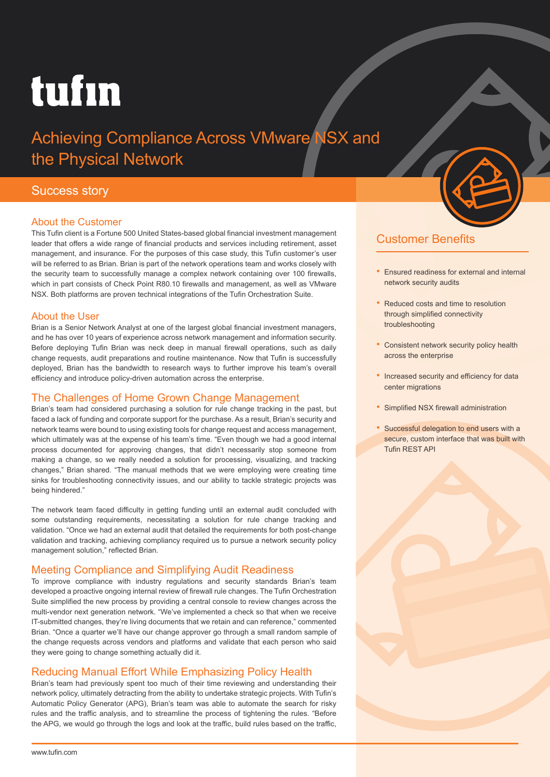# tufın

## Achieving Compliance Across VMware NSX and the Physical Network

### Success story

#### About the Customer

This Tufin client is a Fortune 500 United States-based global financial investment management leader that offers a wide range of financial products and services including retirement, asset management, and insurance. For the purposes of this case study, this Tufin customer's user will be referred to as Brian. Brian is part of the network operations team and works closely with the security team to successfully manage a complex network containing over 100 firewalls, which in part consists of Check Point R80.10 firewalls and management, as well as VMware NSX. Both platforms are proven technical integrations of the Tufin Orchestration Suite.

#### About the User

Brian is a Senior Network Analyst at one of the largest global financial investment managers, and he has over 10 years of experience across network management and information security. Before deploying Tufin Brian was neck deep in manual firewall operations, such as daily change requests, audit preparations and routine maintenance. Now that Tufin is successfully deployed, Brian has the bandwidth to research ways to further improve his team's overall efficiency and introduce policy-driven automation across the enterprise.

#### The Challenges of Home Grown Change Management

Brian's team had considered purchasing a solution for rule change tracking in the past, but faced a lack of funding and corporate support for the purchase. As a result, Brian's security and network teams were bound to using existing tools for change request and access management, which ultimately was at the expense of his team's time. "Even though we had a good internal process documented for approving changes, that didn't necessarily stop someone from making a change, so we really needed a solution for processing, visualizing, and tracking changes," Brian shared. "The manual methods that we were employing were creating time sinks for troubleshooting connectivity issues, and our ability to tackle strategic projects was being hindered."

The network team faced difficulty in getting funding until an external audit concluded with some outstanding requirements, necessitating a solution for rule change tracking and validation. "Once we had an external audit that detailed the requirements for both post-change validation and tracking, achieving compliancy required us to pursue a network security policy management solution," reflected Brian.

#### Meeting Compliance and Simplifying Audit Readiness

To improve compliance with industry regulations and security standards Brian's team developed a proactive ongoing internal review of firewall rule changes. The Tufin Orchestration Suite simplified the new process by providing a central console to review changes across the multi-vendor next generation network. "We've implemented a check so that when we receive IT-submitted changes, they're living documents that we retain and can reference," commented Brian. "Once a quarter we'll have our change approver go through a small random sample of the change requests across vendors and platforms and validate that each person who said they were going to change something actually did it.

#### Reducing Manual Effort While Emphasizing Policy Health

Brian's team had previously spent too much of their time reviewing and understanding their network policy, ultimately detracting from the ability to undertake strategic projects. With Tufin's Automatic Policy Generator (APG), Brian's team was able to automate the search for risky rules and the traffic analysis, and to streamline the process of tightening the rules. "Before the APG, we would go through the logs and look at the traffic, build rules based on the traffic,



- Ensured readiness for external and internal network security audits
- Reduced costs and time to resolution through simplified connectivity troubleshooting
- Consistent network security policy health across the enterprise
- Increased security and efficiency for data center migrations
- Simplified NSX firewall administration
- Successful delegation to end users with a secure, custom interface that was built with Tufin REST API